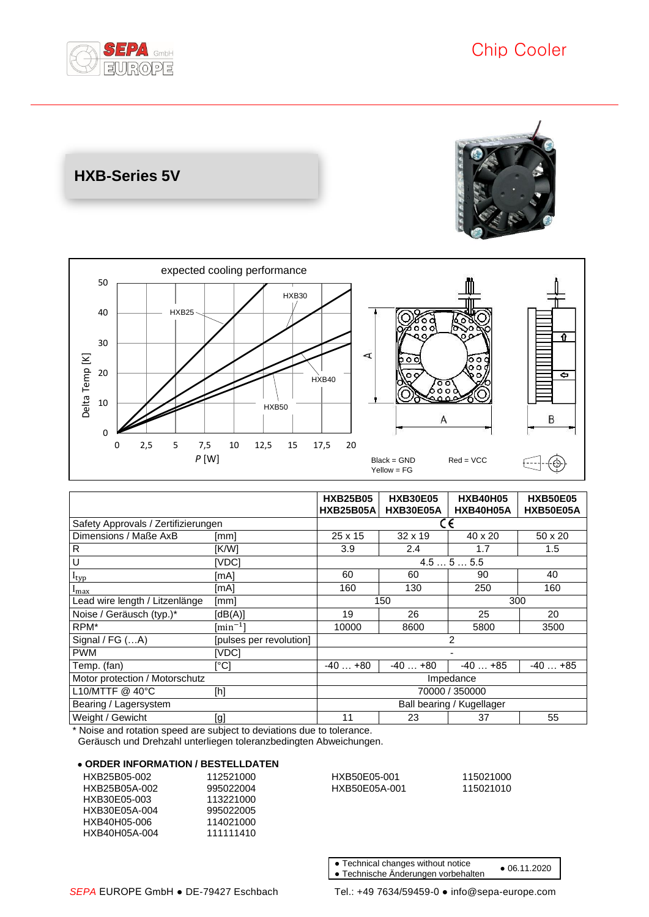

**HXB-Series 5V**





|                                     |                                                                                                                                                                                                                                                                                                                                                                                                                                                                                                                                                                                                                                                                    | <b>HXB25B05</b><br><b>HXB25B05A</b> | <b>HXB30E05</b><br>HXB30E05A | <b>HXB40H05</b><br>HXB40H05A | <b>HXB50E05</b><br>HXB50E05A |
|-------------------------------------|--------------------------------------------------------------------------------------------------------------------------------------------------------------------------------------------------------------------------------------------------------------------------------------------------------------------------------------------------------------------------------------------------------------------------------------------------------------------------------------------------------------------------------------------------------------------------------------------------------------------------------------------------------------------|-------------------------------------|------------------------------|------------------------------|------------------------------|
| Safety Approvals / Zertifizierungen |                                                                                                                                                                                                                                                                                                                                                                                                                                                                                                                                                                                                                                                                    | CΕ                                  |                              |                              |                              |
| Dimensions / Maße AxB               | [mm]                                                                                                                                                                                                                                                                                                                                                                                                                                                                                                                                                                                                                                                               | 25 x 15                             | $32 \times 19$               | 40 x 20                      | 50 x 20                      |
| R                                   | [K/W]                                                                                                                                                                                                                                                                                                                                                                                                                                                                                                                                                                                                                                                              | 3.9                                 | 2.4                          | 1.7                          | 1.5                          |
| U                                   | [VDC]                                                                                                                                                                                                                                                                                                                                                                                                                                                                                                                                                                                                                                                              | 4.555.5                             |                              |                              |                              |
| $I_{typ}$                           | [mA]                                                                                                                                                                                                                                                                                                                                                                                                                                                                                                                                                                                                                                                               | 60                                  | 60                           | 90                           | 40                           |
| $I_{\text{max}}$                    | [mA]                                                                                                                                                                                                                                                                                                                                                                                                                                                                                                                                                                                                                                                               | 160                                 | 130                          | 250                          | 160                          |
| Lead wire length / Litzenlänge      | [mm]                                                                                                                                                                                                                                                                                                                                                                                                                                                                                                                                                                                                                                                               | 150<br>300                          |                              |                              |                              |
| Noise / Geräusch (typ.)*            | [dB(A)]                                                                                                                                                                                                                                                                                                                                                                                                                                                                                                                                                                                                                                                            | 19                                  | 26                           | 25                           | 20                           |
| RPM*                                | $\lceil \min^{-1} \rceil$                                                                                                                                                                                                                                                                                                                                                                                                                                                                                                                                                                                                                                          | 10000                               | 8600                         | 5800                         | 3500                         |
| Signal / FG (A)                     | [pulses per revolution]                                                                                                                                                                                                                                                                                                                                                                                                                                                                                                                                                                                                                                            | $\overline{2}$                      |                              |                              |                              |
| <b>PWM</b>                          | [VDC]                                                                                                                                                                                                                                                                                                                                                                                                                                                                                                                                                                                                                                                              |                                     |                              |                              |                              |
| Temp. (fan)                         | [°C]                                                                                                                                                                                                                                                                                                                                                                                                                                                                                                                                                                                                                                                               | $-40+80$                            | $-40+80$                     | $-40+85$                     | $-40+85$                     |
| Motor protection / Motorschutz      |                                                                                                                                                                                                                                                                                                                                                                                                                                                                                                                                                                                                                                                                    | Impedance                           |                              |                              |                              |
| L10/MTTF @ $40^{\circ}$ C           | $[h] % \begin{center} % \includegraphics[width=\linewidth]{imagesSupplemental_3.png} % \end{center} % \caption { % \textit{DefNet} of the \textit{DefNet} dataset. % Note that the \textit{DefNet} and \textit{DefNet} dataset. % Note that the \textit{DefNet} and \textit{DefNet} dataset. % Note that the \textit{DefNet} and \textit{DefNet} dataset. % Note that the \textit{DefNet} and \textit{DefNet} dataset. % Note that the \textit{DefNet} and \textit{DefNet} dataset. % Note that the \textit{DefNet} and \textit{DefNet} dataset. % Note that the \textit{DefNet} and \textit{DefNet} dataset. % Note that the \textit{DefNet} and \textit{DefNet}$ | 70000 / 350000                      |                              |                              |                              |
| Bearing / Lagersystem               |                                                                                                                                                                                                                                                                                                                                                                                                                                                                                                                                                                                                                                                                    | Ball bearing / Kugellager           |                              |                              |                              |
| Weight / Gewicht                    | [g]                                                                                                                                                                                                                                                                                                                                                                                                                                                                                                                                                                                                                                                                | 11                                  | 23                           | 37                           | 55                           |

\* Noise and rotation speed are subject to deviations due to tolerance.

Geräusch und Drehzahl unterliegen toleranzbedingten Abweichungen.

### ● **ORDER INFORMATION / BESTELLDATEN**

| HXB25B05-002  | 112521000 |
|---------------|-----------|
| HXB25B05A-002 | 995022004 |
| HXB30F05-003  | 113221000 |
| HXB30E05A-004 | 995022005 |
| HXB40H05-006  | 114021000 |
| HXB40H05A-004 | 111111410 |
|               |           |

0 HXB50E05-001 115021000 HXB50E05A-001 115021010

● Technical changes without notice

● 06.11.2020 ● Technische Änderungen vorbehalten

*SEPA* EUROPE GmbH ● DE-79427 Eschbach Tel.: +49 7634/59459-0 ● info@sepa-europe.com